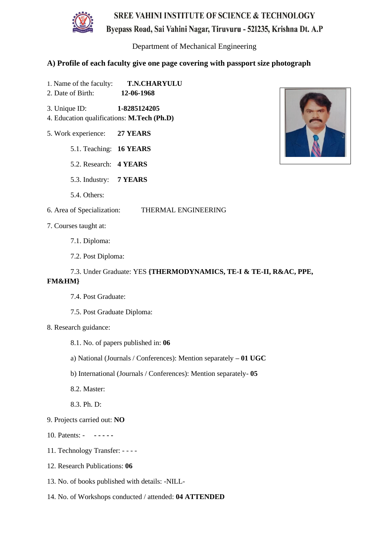

Department of Mechanical Engineering

#### **A) Profile of each faculty give one page covering with passport size photograph**

- 1. Name of the faculty: **T.N.CHARYULU**
- 2. Date of Birth: **12-06-1968**
- 3. Unique ID: **1-8285124205** 4. Education qualifications: **M.Tech (Ph.D)**
- 5. Work experience: **27 YEARS**
	- 5.1. Teaching: **16 YEARS**
	- 5.2. Research: **4 YEARS**
	- 5.3. Industry: **7 YEARS**
	- 5.4. Others:
- 6. Area of Specialization: THERMAL ENGINEERING
- 7. Courses taught at:
	- 7.1. Diploma:
	- 7.2. Post Diploma:

# 7.3. Under Graduate: YES **{THERMODYNAMICS, TE-I & TE-II, R&AC, PPE,**

#### **FM&HM}**

- 7.4. Post Graduate:
- 7.5. Post Graduate Diploma:
- 8. Research guidance:
	- 8.1. No. of papers published in: **06**
	- a) National (Journals / Conferences): Mention separately **– 01 UGC**
	- b) International (Journals / Conferences): Mention separately- **05**
	- 8.2. Master:
	- 8.3. Ph. D:
- 9. Projects carried out: **NO**
- 10. Patents: **- - - - -**
- 11. Technology Transfer: - -
- 12. Research Publications: **06**
- 13. No. of books published with details: -NILL-
- 14. No. of Workshops conducted / attended: **04 ATTENDED**

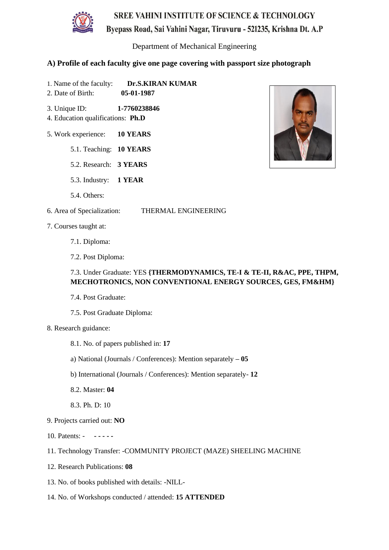

Department of Mechanical Engineering

#### **A) Profile of each faculty give one page covering with passport size photograph**

- 1. Name of the faculty: **Dr.S.KIRAN KUMAR** 2. Date of Birth: **05-01-1987**
- 3. Unique ID: **1-7760238846**
- 4. Education qualifications: **Ph.D**
- 5. Work experience: **10 YEARS**
	- 5.1. Teaching: **10 YEARS**
	- 5.2. Research: **3 YEARS**
	- 5.3. Industry: **1 YEAR**
	- 5.4. Others:
- 6. Area of Specialization: THERMAL ENGINEERING
- 7. Courses taught at:
	- 7.1. Diploma:
	- 7.2. Post Diploma:

### 7.3. Under Graduate: YES **{THERMODYNAMICS, TE-I & TE-II, R&AC, PPE, THPM, MECHOTRONICS, NON CONVENTIONAL ENERGY SOURCES, GES, FM&HM}**

- 7.4. Post Graduate:
- 7.5. Post Graduate Diploma:
- 8. Research guidance:
	- 8.1. No. of papers published in: **17**
	- a) National (Journals / Conferences): Mention separately **– 05**
	- b) International (Journals / Conferences): Mention separately- **12**
	- 8.2. Master: **04**
	- 8.3. Ph. D: 10
- 9. Projects carried out: **NO**
- 10. Patents: **- - - - -**
- 11. Technology Transfer: -COMMUNITY PROJECT (MAZE) SHEELING MACHINE
- 12. Research Publications: **08**
- 13. No. of books published with details: -NILL-
- 14. No. of Workshops conducted / attended: **15 ATTENDED**

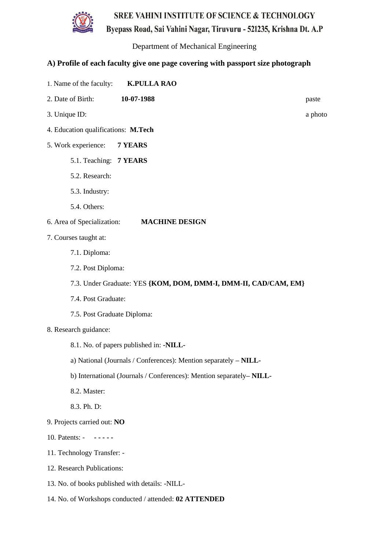Byepass Road, Sai Vahini Nagar, Tiruvuru - 521235, Krishna Dt. A.P



Department of Mechanical Engineering

- 1. Name of the faculty: **K.PULLA RAO**
- 2. Date of Birth: **10-07-1988** paste
- 3. Unique ID: a photo
- 4. Education qualifications: **M.Tech**
- 5. Work experience: **7 YEARS**
	- 5.1. Teaching: **7 YEARS**
	- 5.2. Research:
	- 5.3. Industry:
	- 5.4. Others:
- 6. Area of Specialization: **MACHINE DESIGN**
- 7. Courses taught at:
	- 7.1. Diploma:
	- 7.2. Post Diploma:
	- 7.3. Under Graduate: YES **{KOM, DOM, DMM-I, DMM-II, CAD/CAM, EM}**
	- 7.4. Post Graduate:
	- 7.5. Post Graduate Diploma:
- 8. Research guidance:
	- 8.1. No. of papers published in: **-NILL-**
	- a) National (Journals / Conferences): Mention separately **– NILL-**
	- b) International (Journals / Conferences): Mention separately**– NILL-**
	- 8.2. Master:
	- 8.3. Ph. D:
- 9. Projects carried out: **NO**
- 10. Patents: **- - - - -**
- 11. Technology Transfer: -
- 12. Research Publications:
- 13. No. of books published with details: -NILL-
- 14. No. of Workshops conducted / attended: **02 ATTENDED**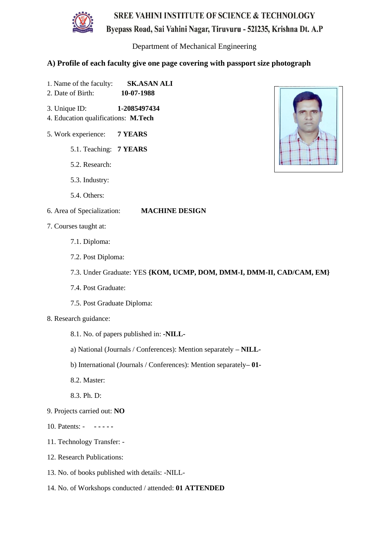

Department of Mechanical Engineering

- 1. Name of the faculty: **SK.ASAN ALI**
- 2. Date of Birth: **10-07-1988**
- 3. Unique ID: **1-2085497434**
- 4. Education qualifications: **M.Tech**
- 5. Work experience: **7 YEARS**
	- 5.1. Teaching: **7 YEARS**
	- 5.2. Research:
	- 5.3. Industry:
	- 5.4. Others:
- 6. Area of Specialization: **MACHINE DESIGN**
- 7. Courses taught at:
	- 7.1. Diploma:
	- 7.2. Post Diploma:
	- 7.3. Under Graduate: YES **{KOM, UCMP, DOM, DMM-I, DMM-II, CAD/CAM, EM}**
	- 7.4. Post Graduate:
	- 7.5. Post Graduate Diploma:
- 8. Research guidance:
	- 8.1. No. of papers published in: **-NILL-**
	- a) National (Journals / Conferences): Mention separately **– NILL-**
	- b) International (Journals / Conferences): Mention separately**– 01-**
	- 8.2. Master:
	- 8.3. Ph. D:
- 9. Projects carried out: **NO**
- 10. Patents: **- - - - -**
- 11. Technology Transfer: -
- 12. Research Publications:
- 13. No. of books published with details: -NILL-
- 14. No. of Workshops conducted / attended: **01 ATTENDED**

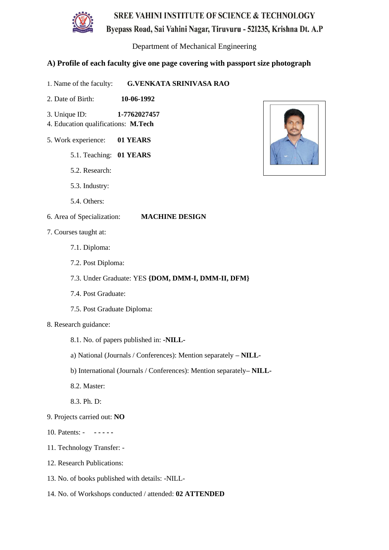

Byepass Road, Sai Vahini Nagar, Tiruvuru - 521235, Krishna Dt. A.P

Department of Mechanical Engineering

- 1. Name of the faculty: **G.VENKATA SRINIVASA RAO**
- 2. Date of Birth: **10-06-1992**
- 3. Unique ID: **1-7762027457**
- 4. Education qualifications: **M.Tech**
- 5. Work experience: **01 YEARS**
	- 5.1. Teaching: **01 YEARS**
	- 5.2. Research:
	- 5.3. Industry:
	- 5.4. Others:
- 6. Area of Specialization: **MACHINE DESIGN**
- 7. Courses taught at:
	- 7.1. Diploma:
	- 7.2. Post Diploma:
	- 7.3. Under Graduate: YES **{DOM, DMM-I, DMM-II, DFM}**
	- 7.4. Post Graduate:
	- 7.5. Post Graduate Diploma:
- 8. Research guidance:
	- 8.1. No. of papers published in: **-NILL-**
	- a) National (Journals / Conferences): Mention separately **– NILL-**
	- b) International (Journals / Conferences): Mention separately**– NILL-**
	- 8.2. Master:
	- 8.3. Ph. D:
- 9. Projects carried out: **NO**
- 10. Patents: **- - - - -**
- 11. Technology Transfer: -
- 12. Research Publications:
- 13. No. of books published with details: -NILL-
- 14. No. of Workshops conducted / attended: **02 ATTENDED**

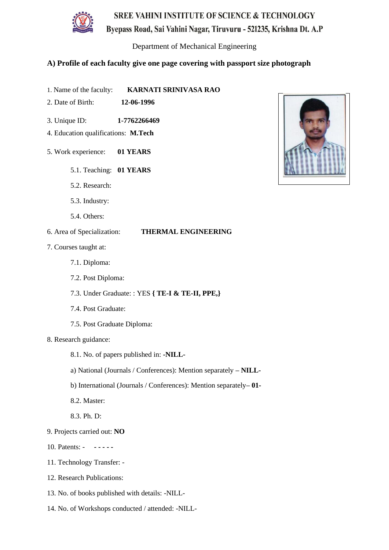

Byepass Road, Sai Vahini Nagar, Tiruvuru - 521235, Krishna Dt. A.P

Department of Mechanical Engineering

- 1. Name of the faculty: **KARNATI SRINIVASA RAO**
- 2. Date of Birth: **12-06-1996**
- 3. Unique ID: **1-7762266469**
- 4. Education qualifications: **M.Tech**
- 5. Work experience: **01 YEARS**
	- 5.1. Teaching: **01 YEARS**
	- 5.2. Research:
	- 5.3. Industry:
	- 5.4. Others:
- 6. Area of Specialization: **THERMAL ENGINEERING**
- 7. Courses taught at:
	- 7.1. Diploma:
	- 7.2. Post Diploma:
	- 7.3. Under Graduate: : YES **{ TE-I & TE-II, PPE,}**
	- 7.4. Post Graduate:
	- 7.5. Post Graduate Diploma:
- 8. Research guidance:
	- 8.1. No. of papers published in: **-NILL-**
	- a) National (Journals / Conferences): Mention separately **– NILL-**
	- b) International (Journals / Conferences): Mention separately**– 01-**
	- 8.2. Master:
	- 8.3. Ph. D:
- 9. Projects carried out: **NO**
- 10. Patents: **- - - - -**
- 11. Technology Transfer: -
- 12. Research Publications:
- 13. No. of books published with details: -NILL-
- 14. No. of Workshops conducted / attended: -NILL-

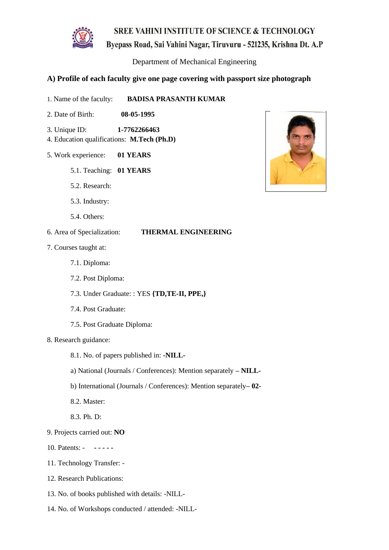

Byepass Road, Sai Vahini Nagar, Tiruvuru - 521235, Krishna Dt. A.P

Department of Mechanical Engineering

- 1. Name of the faculty: **BADISA PRASANTH KUMAR**
- 2. Date of Birth: **08-05-1995**
- 3. Unique ID: **1-7762266463**
- 4. Education qualifications: **M.Tech (Ph.D)**
- 5. Work experience: **01 YEARS**
	- 5.1. Teaching: **01 YEARS**
	- 5.2. Research:
	- 5.3. Industry:
	- 5.4. Others:
- 6. Area of Specialization: **THERMAL ENGINEERING**
- 7. Courses taught at:
	- 7.1. Diploma:
	- 7.2. Post Diploma:
	- 7.3. Under Graduate: : YES **{TD,TE-II, PPE,}**
	- 7.4. Post Graduate:
	- 7.5. Post Graduate Diploma:
- 8. Research guidance:
	- 8.1. No. of papers published in: **-NILL-**
	- a) National (Journals / Conferences): Mention separately **– NILL-**
	- b) International (Journals / Conferences): Mention separately**– 02-**
	- 8.2. Master:
	- 8.3. Ph. D:
- 9. Projects carried out: **NO**
- 10. Patents: **- - - - -**
- 11. Technology Transfer: -
- 12. Research Publications:
- 13. No. of books published with details: -NILL-
- 14. No. of Workshops conducted / attended: -NILL-

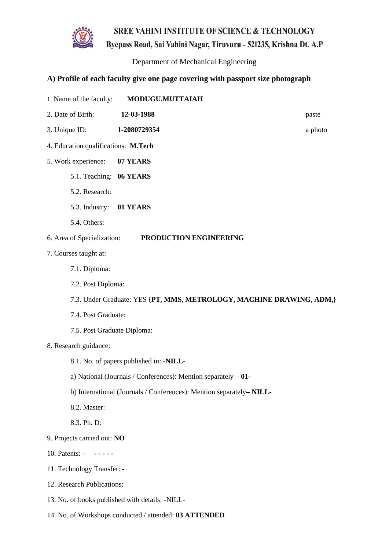Byepass Road, Sai Vahini Nagar, Tiruvuru - 521235, Krishna Dt. A.P

Department of Mechanical Engineering

## **A) Profile of each faculty give one page covering with passport size photograph**

- 1. Name of the faculty: **MODUGU.MUTTAIAH**
- 2. Date of Birth: **12-03-1988** paste
- 3. Unique ID: **1-2080729354** a photo
- 4. Education qualifications: **M.Tech**
- 5. Work experience: **07 YEARS**
	- 5.1. Teaching: **06 YEARS**
	- 5.2. Research:
	- 5.3. Industry: **01 YEARS**
	- 5.4. Others:

#### 6. Area of Specialization: **PRODUCTION ENGINEERING**

- 7. Courses taught at:
	- 7.1. Diploma:
	- 7.2. Post Diploma:
	- 7.3. Under Graduate: YES **{PT, MMS, METROLOGY, MACHINE DRAWING, ADM,}**
	- 7.4. Post Graduate:
	- 7.5. Post Graduate Diploma:
- 8. Research guidance:
	- 8.1. No. of papers published in: **-NILL-**
	- a) National (Journals / Conferences): Mention separately **– 01-**
	- b) International (Journals / Conferences): Mention separately**– NILL-**
	- 8.2. Master:
	- 8.3. Ph. D:
- 9. Projects carried out: **NO**
- 10. Patents: **- - - - -**
- 11. Technology Transfer: -
- 12. Research Publications:
- 13. No. of books published with details: -NILL-
- 14. No. of Workshops conducted / attended: **03 ATTENDED**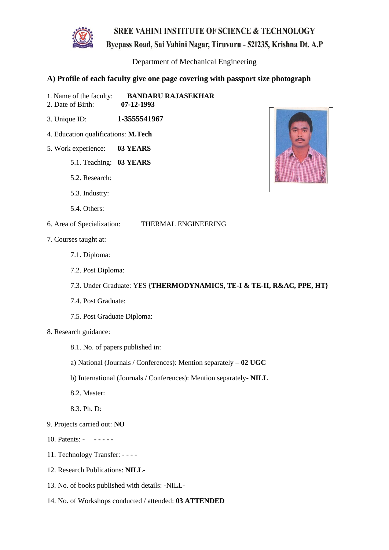

Byepass Road, Sai Vahini Nagar, Tiruvuru - 521235, Krishna Dt. A.P

Department of Mechanical Engineering

### **A) Profile of each faculty give one page covering with passport size photograph**

1. Name of the faculty: **BANDARU RAJASEKHAR**<br>2. Date of Birth: **07-12-1993** 

- 2. Date of Birth:
- 3. Unique ID: **1-3555541967**
- 4. Education qualifications: **M.Tech**
- 5. Work experience: **03 YEARS**
	- 5.1. Teaching: **03 YEARS**
	- 5.2. Research:
	- 5.3. Industry:
	- 5.4. Others:
- 6. Area of Specialization: THERMAL ENGINEERING
- 7. Courses taught at:
	- 7.1. Diploma:
	- 7.2. Post Diploma:
	- 7.3. Under Graduate: YES **{THERMODYNAMICS, TE-I & TE-II, R&AC, PPE, HT}**
	- 7.4. Post Graduate:
	- 7.5. Post Graduate Diploma:
- 8. Research guidance:
	- 8.1. No. of papers published in:
	- a) National (Journals / Conferences): Mention separately **– 02 UGC**
	- b) International (Journals / Conferences): Mention separately- **NILL**
	- 8.2. Master:
	- 8.3. Ph. D:
- 9. Projects carried out: **NO**
- 10. Patents: **- - - - -**
- 11. Technology Transfer: - -
- 12. Research Publications: **NILL-**
- 13. No. of books published with details: -NILL-
- 14. No. of Workshops conducted / attended: **03 ATTENDED**

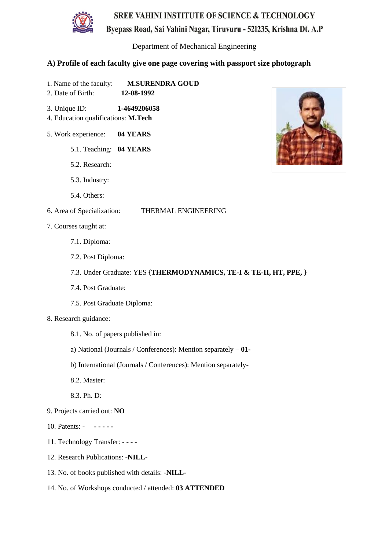

Department of Mechanical Engineering

### **A) Profile of each faculty give one page covering with passport size photograph**

- 1. Name of the faculty: **M.SURENDRA GOUD**
- 2. Date of Birth: **12-08-1992**
- 3. Unique ID: **1-4649206058**
- 4. Education qualifications: **M.Tech**
- 5. Work experience: **04 YEARS**
	- 5.1. Teaching: **04 YEARS**
	- 5.2. Research:
	- 5.3. Industry:
	- 5.4. Others:

### 6. Area of Specialization: THERMAL ENGINEERING

- 7. Courses taught at:
	- 7.1. Diploma:
	- 7.2. Post Diploma:
	- 7.3. Under Graduate: YES **{THERMODYNAMICS, TE-I & TE-II, HT, PPE, }**
	- 7.4. Post Graduate:
	- 7.5. Post Graduate Diploma:
- 8. Research guidance:
	- 8.1. No. of papers published in:
	- a) National (Journals / Conferences): Mention separately **– 01-**
	- b) International (Journals / Conferences): Mention separately-
	- 8.2. Master:
	- 8.3. Ph. D:
- 9. Projects carried out: **NO**
- 10. Patents: **- - - - -**
- 11. Technology Transfer: - -
- 12. Research Publications: -**NILL-**
- 13. No. of books published with details: -**NILL-**
- 14. No. of Workshops conducted / attended: **03 ATTENDED**

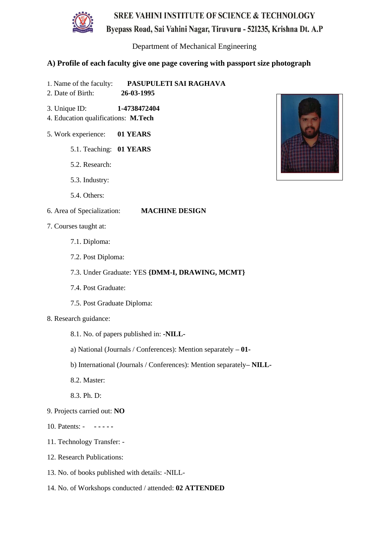

Department of Mechanical Engineering

### **A) Profile of each faculty give one page covering with passport size photograph**

- 1. Name of the faculty: **PASUPULETI SAI RAGHAVA**
- 2. Date of Birth: **26-03-1995**
- 3. Unique ID: **1-4738472404**
- 4. Education qualifications: **M.Tech**
- 5. Work experience: **01 YEARS**
	- 5.1. Teaching: **01 YEARS**
	- 5.2. Research:
	- 5.3. Industry:
	- 5.4. Others:

- 7. Courses taught at:
	- 7.1. Diploma:
	- 7.2. Post Diploma:
	- 7.3. Under Graduate: YES **{DMM-I, DRAWING, MCMT}**
	- 7.4. Post Graduate:
	- 7.5. Post Graduate Diploma:
- 8. Research guidance:
	- 8.1. No. of papers published in: **-NILL-**
	- a) National (Journals / Conferences): Mention separately **– 01-**
	- b) International (Journals / Conferences): Mention separately**– NILL-**
	- 8.2. Master:
	- 8.3. Ph. D:
- 9. Projects carried out: **NO**
- 10. Patents: **- - - - -**
- 11. Technology Transfer: -
- 12. Research Publications:
- 13. No. of books published with details: -NILL-
- 14. No. of Workshops conducted / attended: **02 ATTENDED**

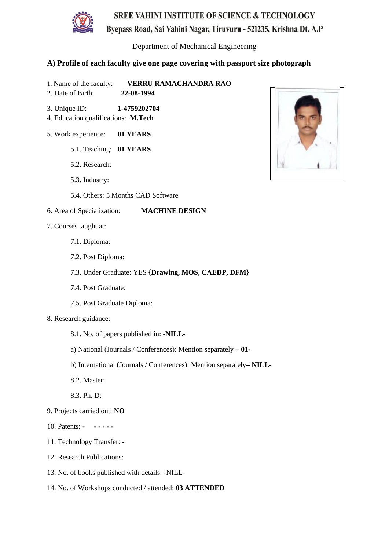

Byepass Road, Sai Vahini Nagar, Tiruvuru - 521235, Krishna Dt. A.P

Department of Mechanical Engineering

## **A) Profile of each faculty give one page covering with passport size photograph**

- 1. Name of the faculty: **VERRU RAMACHANDRA RAO**
- 2. Date of Birth: **22-08-1994**
- 3. Unique ID: **1-4759202704**
- 4. Education qualifications: **M.Tech**
- 5. Work experience: **01 YEARS**
	- 5.1. Teaching: **01 YEARS**
	- 5.2. Research:
	- 5.3. Industry:
	- 5.4. Others: 5 Months CAD Software

- 7. Courses taught at:
	- 7.1. Diploma:
	- 7.2. Post Diploma:
	- 7.3. Under Graduate: YES **{Drawing, MOS, CAEDP, DFM}**
	- 7.4. Post Graduate:
	- 7.5. Post Graduate Diploma:
- 8. Research guidance:
	- 8.1. No. of papers published in: **-NILL-**
	- a) National (Journals / Conferences): Mention separately **– 01-**
	- b) International (Journals / Conferences): Mention separately**– NILL-**
	- 8.2. Master:
	- 8.3. Ph. D:
- 9. Projects carried out: **NO**
- 10. Patents: **- - - - -**
- 11. Technology Transfer: -
- 12. Research Publications:
- 13. No. of books published with details: -NILL-
- 14. No. of Workshops conducted / attended: **03 ATTENDED**

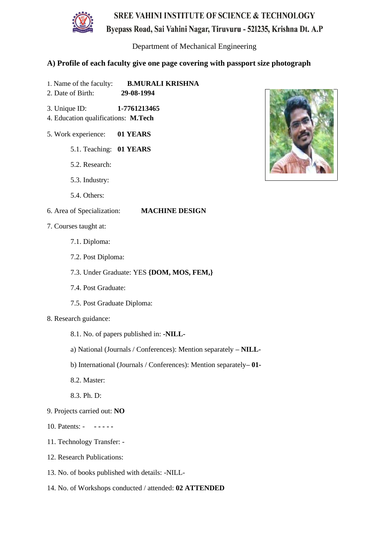

Department of Mechanical Engineering

#### **A) Profile of each faculty give one page covering with passport size photograph**

- 1. Name of the faculty: **B.MURALI KRISHNA** 2. Date of Birth: **29-08-1994**
- 3. Unique ID: **1-7761213465**
- 4. Education qualifications: **M.Tech**
- 5. Work experience: **01 YEARS**
	- 5.1. Teaching: **01 YEARS**
	- 5.2. Research:
	- 5.3. Industry:
	- 5.4. Others:

- 7. Courses taught at:
	- 7.1. Diploma:
	- 7.2. Post Diploma:
	- 7.3. Under Graduate: YES **{DOM, MOS, FEM,}**
	- 7.4. Post Graduate:
	- 7.5. Post Graduate Diploma:
- 8. Research guidance:
	- 8.1. No. of papers published in: **-NILL-**
	- a) National (Journals / Conferences): Mention separately **– NILL-**
	- b) International (Journals / Conferences): Mention separately**– 01-**
	- 8.2. Master:
	- 8.3. Ph. D:
- 9. Projects carried out: **NO**
- 10. Patents: **- - - - -**
- 11. Technology Transfer: -
- 12. Research Publications:
- 13. No. of books published with details: -NILL-
- 14. No. of Workshops conducted / attended: **02 ATTENDED**

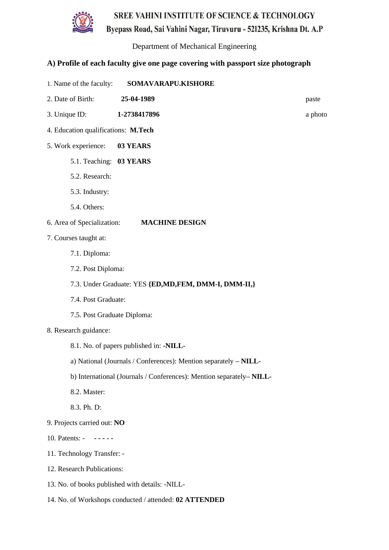

Department of Mechanical Engineering

- 1. Name of the faculty: **SOMAVARAPU.KISHORE**
- 2. Date of Birth: **25-04-1989** paste
- 3. Unique ID: **1-2738417896** a photo
- 4. Education qualifications: **M.Tech**
- 5. Work experience: **03 YEARS**
	- 5.1. Teaching: **03 YEARS**
	- 5.2. Research:
	- 5.3. Industry:
	- 5.4. Others:
- 6. Area of Specialization: **MACHINE DESIGN**
- 7. Courses taught at:
	- 7.1. Diploma:
	- 7.2. Post Diploma:
	- 7.3. Under Graduate: YES **{ED,MD,FEM, DMM-I, DMM-II,}**
	- 7.4. Post Graduate:
	- 7.5. Post Graduate Diploma:
- 8. Research guidance:
	- 8.1. No. of papers published in: **-NILL-**
	- a) National (Journals / Conferences): Mention separately **– NILL-**
	- b) International (Journals / Conferences): Mention separately**– NILL-**
	- 8.2. Master:
	- 8.3. Ph. D:
- 9. Projects carried out: **NO**
- 10. Patents: **- - - - -**
- 11. Technology Transfer: -
- 12. Research Publications:
- 13. No. of books published with details: -NILL-
- 14. No. of Workshops conducted / attended: **02 ATTENDED**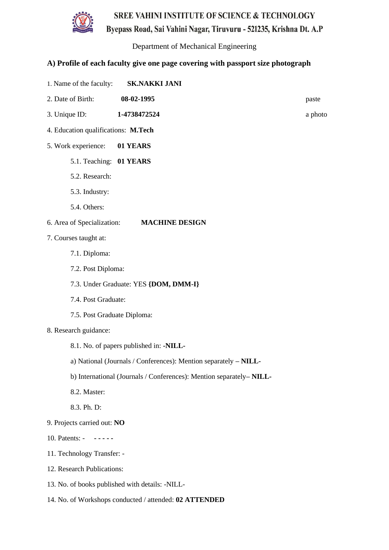

Department of Mechanical Engineering

- 1. Name of the faculty: **SK.NAKKI JANI**
- 2. Date of Birth: **08-02-1995** paste
- 3. Unique ID: **1-4738472524** a photo
- 4. Education qualifications: **M.Tech**
- 5. Work experience: **01 YEARS**
	- 5.1. Teaching: **01 YEARS**
	- 5.2. Research:
	- 5.3. Industry:
	- 5.4. Others:
- 6. Area of Specialization: **MACHINE DESIGN**
- 7. Courses taught at:
	- 7.1. Diploma:
	- 7.2. Post Diploma:
	- 7.3. Under Graduate: YES **{DOM, DMM-I}**
	- 7.4. Post Graduate:
	- 7.5. Post Graduate Diploma:
- 8. Research guidance:
	- 8.1. No. of papers published in: **-NILL-**
	- a) National (Journals / Conferences): Mention separately **– NILL-**
	- b) International (Journals / Conferences): Mention separately**– NILL-**
	- 8.2. Master:
	- 8.3. Ph. D:
- 9. Projects carried out: **NO**
- 10. Patents: **- - - - -**
- 11. Technology Transfer: -
- 12. Research Publications:
- 13. No. of books published with details: -NILL-
- 14. No. of Workshops conducted / attended: **02 ATTENDED**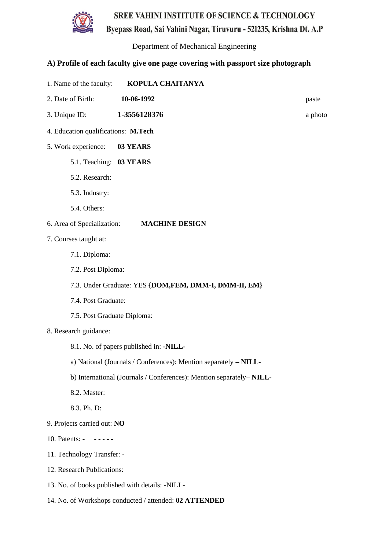

Byepass Road, Sai Vahini Nagar, Tiruvuru - 521235, Krishna Dt. A.P

Department of Mechanical Engineering

- 1. Name of the faculty: **KOPULA CHAITANYA**
- 2. Date of Birth: **10-06-1992** paste
- 3. Unique ID: **1-3556128376** a photo
- 4. Education qualifications: **M.Tech**
- 5. Work experience: **03 YEARS**
	- 5.1. Teaching: **03 YEARS**
	- 5.2. Research:
	- 5.3. Industry:
	- 5.4. Others:
- 6. Area of Specialization: **MACHINE DESIGN**
- 7. Courses taught at:
	- 7.1. Diploma:
	- 7.2. Post Diploma:
	- 7.3. Under Graduate: YES **{DOM,FEM, DMM-I, DMM-II, EM}**
	- 7.4. Post Graduate:
	- 7.5. Post Graduate Diploma:
- 8. Research guidance:
	- 8.1. No. of papers published in: **-NILL-**
	- a) National (Journals / Conferences): Mention separately **– NILL-**
	- b) International (Journals / Conferences): Mention separately**– NILL-**
	- 8.2. Master:
	- 8.3. Ph. D:
- 9. Projects carried out: **NO**
- 10. Patents: **- - - - -**
- 11. Technology Transfer: -
- 12. Research Publications:
- 13. No. of books published with details: -NILL-
- 14. No. of Workshops conducted / attended: **02 ATTENDED**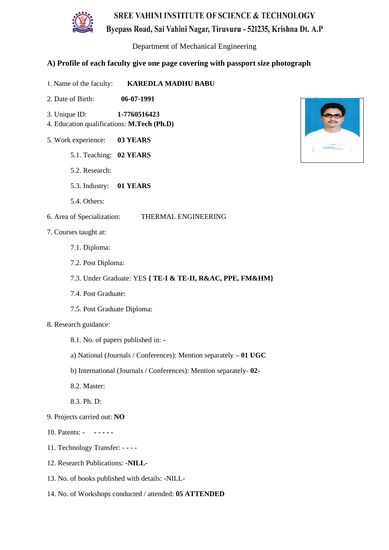

Byepass Road, Sai Vahini Nagar, Tiruvuru - 521235, Krishna Dt. A.P

Department of Mechanical Engineering

- 1. Name of the faculty: **KAREDLA MADHU BABU**
- 2. Date of Birth: **06-07-1991**
- 3. Unique ID: **1-7760516423**
- 4. Education qualifications: **M.Tech (Ph.D)**
- 5. Work experience: **03 YEARS**
	- 5.1. Teaching: **02 YEARS**
	- 5.2. Research:
	- 5.3. Industry: **01 YEARS**
	- 5.4. Others:
- 6. Area of Specialization: THERMAL ENGINEERING
- 7. Courses taught at:
	- 7.1. Diploma:
	- 7.2. Post Diploma:
	- 7.3. Under Graduate: YES **{ TE-I & TE-II, R&AC, PPE, FM&HM}**
	- 7.4. Post Graduate:
	- 7.5. Post Graduate Diploma:
- 8. Research guidance:
	- 8.1. No. of papers published in: **-**
	- a) National (Journals / Conferences): Mention separately **– 01 UGC**
	- b) International (Journals / Conferences): Mention separately- **02-**
	- 8.2. Master:
	- 8.3. Ph. D:
- 9. Projects carried out: **NO**
- 10. Patents: **- - - - -**
- 11. Technology Transfer: - -
- 12. Research Publications: **-NILL-**
- 13. No. of books published with details: -NILL-
- 14. No. of Workshops conducted / attended: **05 ATTENDED**

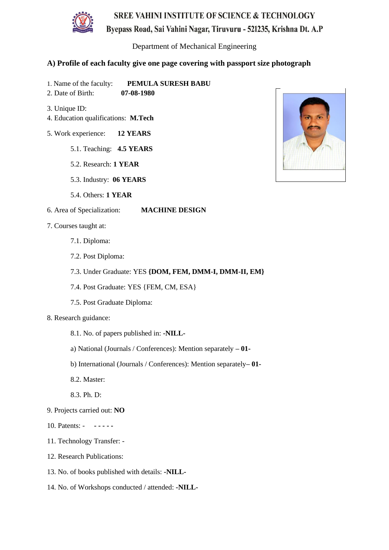

# Byepass Road, Sai Vahini Nagar, Tiruvuru - 521235, Krishna Dt. A.P

Department of Mechanical Engineering

- 1. Name of the faculty: **PEMULA SURESH BABU**
- 2. Date of Birth: **07-08-1980**
- 3. Unique ID:
- 4. Education qualifications: **M.Tech**
- 5. Work experience: **12 YEARS**
	- 5.1. Teaching: **4.5 YEARS**
	- 5.2. Research: **1 YEAR**
	- 5.3. Industry: **06 YEARS**
	- 5.4. Others: **1 YEAR**
- 6. Area of Specialization: **MACHINE DESIGN**
- 7. Courses taught at:
	- 7.1. Diploma:
	- 7.2. Post Diploma:
	- 7.3. Under Graduate: YES **{DOM, FEM, DMM-I, DMM-II, EM}**
	- 7.4. Post Graduate: YES {FEM, CM, ESA}
	- 7.5. Post Graduate Diploma:
- 8. Research guidance:
	- 8.1. No. of papers published in: **-NILL-**
	- a) National (Journals / Conferences): Mention separately **– 01-**
	- b) International (Journals / Conferences): Mention separately**– 01-**
	- 8.2. Master:
	- 8.3. Ph. D:
- 9. Projects carried out: **NO**
- 10. Patents: **- - - - -**
- 11. Technology Transfer: -
- 12. Research Publications:
- 13. No. of books published with details: **-NILL-**
- 14. No. of Workshops conducted / attended: **-NILL-**

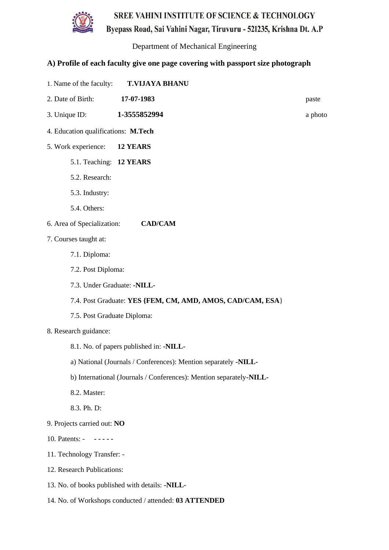

Byepass Road, Sai Vahini Nagar, Tiruvuru - 521235, Krishna Dt. A.P

Department of Mechanical Engineering

- 1. Name of the faculty: **T.VIJAYA BHANU**
- 2. Date of Birth: **17-07-1983** paste
- 3. Unique ID: **1-3555852994** a photo
- 4. Education qualifications: **M.Tech**
- 5. Work experience: **12 YEARS**
	- 5.1. Teaching: **12 YEARS**
	- 5.2. Research:
	- 5.3. Industry:
	- 5.4. Others:
- 6. Area of Specialization: **CAD/CAM**
- 7. Courses taught at:
	- 7.1. Diploma:
	- 7.2. Post Diploma:
	- 7.3. Under Graduate: **-NILL-**
	- 7.4. Post Graduate: **YES {FEM, CM, AMD, AMOS, CAD/CAM, ESA**}
	- 7.5. Post Graduate Diploma:
- 8. Research guidance:
	- 8.1. No. of papers published in: **-NILL-**
	- a) National (Journals / Conferences): Mention separately **-NILL-**
	- b) International (Journals / Conferences): Mention separately**-NILL-**
	- 8.2. Master:
	- 8.3. Ph. D:
- 9. Projects carried out: **NO**
- 10. Patents: **- - - - -**
- 11. Technology Transfer: -
- 12. Research Publications:
- 13. No. of books published with details: **-NILL-**
- 14. No. of Workshops conducted / attended: **03 ATTENDED**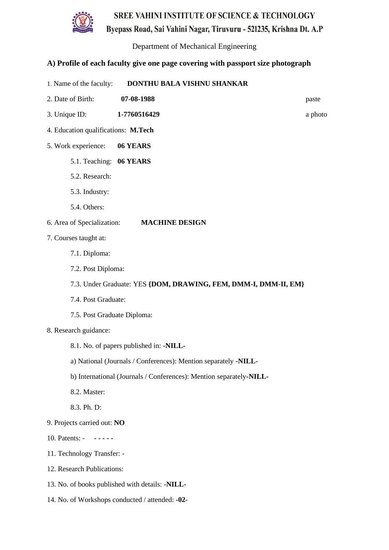

Byepass Road, Sai Vahini Nagar, Tiruvuru - 521235, Krishna Dt. A.P

Department of Mechanical Engineering

- 1. Name of the faculty: **DONTHU BALA VISHNU SHANKAR**
- 2. Date of Birth: **07-08-1988** paste
- 3. Unique ID: **1-7760516429** a photo
- 4. Education qualifications: **M.Tech**
- 5. Work experience: **06 YEARS**
	- 5.1. Teaching: **06 YEARS**
	- 5.2. Research:
	- 5.3. Industry:
	- 5.4. Others:
- 6. Area of Specialization: **MACHINE DESIGN**
- 7. Courses taught at:
	- 7.1. Diploma:
	- 7.2. Post Diploma:
	- 7.3. Under Graduate: YES **{DOM, DRAWING, FEM, DMM-I, DMM-II, EM}**
	- 7.4. Post Graduate:
	- 7.5. Post Graduate Diploma:
- 8. Research guidance:
	- 8.1. No. of papers published in: **-NILL-**
	- a) National (Journals / Conferences): Mention separately **-NILL-**
	- b) International (Journals / Conferences): Mention separately**-NILL-**
	- 8.2. Master:
	- 8.3. Ph. D:
- 9. Projects carried out: **NO**
- 10. Patents: **- - - - -**
- 11. Technology Transfer: -
- 12. Research Publications:
- 13. No. of books published with details: **-NILL-**
- 14. No. of Workshops conducted / attended: **-02-**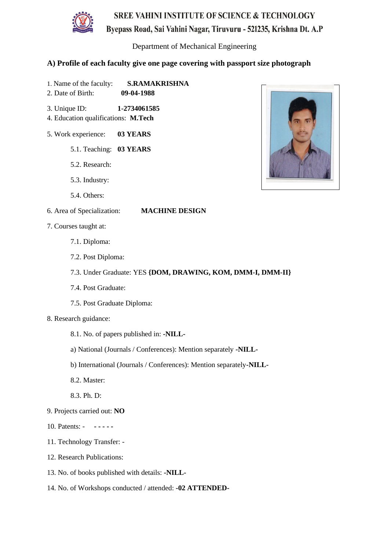

Department of Mechanical Engineering

#### **A) Profile of each faculty give one page covering with passport size photograph**

- 1. Name of the faculty: **S.RAMAKRISHNA**
- 2. Date of Birth: **09-04-1988**
- 3. Unique ID: **1-2734061585**
- 4. Education qualifications: **M.Tech**
- 5. Work experience: **03 YEARS**
	- 5.1. Teaching: **03 YEARS**
	- 5.2. Research:
	- 5.3. Industry:
	- 5.4. Others:

- 7. Courses taught at:
	- 7.1. Diploma:
	- 7.2. Post Diploma:
	- 7.3. Under Graduate: YES **{DOM, DRAWING, KOM, DMM-I, DMM-II}**
	- 7.4. Post Graduate:
	- 7.5. Post Graduate Diploma:
- 8. Research guidance:
	- 8.1. No. of papers published in: **-NILL-**
	- a) National (Journals / Conferences): Mention separately **-NILL-**
	- b) International (Journals / Conferences): Mention separately**-NILL-**
	- 8.2. Master:
	- 8.3. Ph. D:
- 9. Projects carried out: **NO**
- 10. Patents: **- - - - -**
- 11. Technology Transfer: -
- 12. Research Publications:
- 13. No. of books published with details: **-NILL-**
- 14. No. of Workshops conducted / attended: **-02 ATTENDED-**

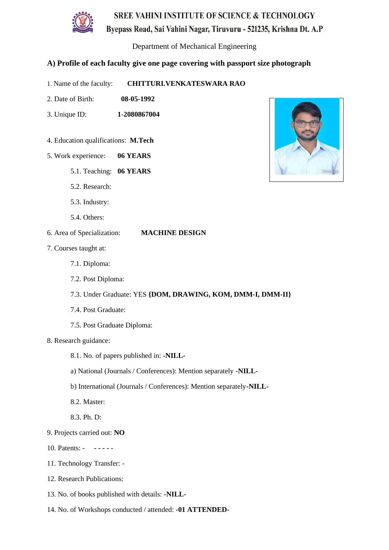

Department of Mechanical Engineering

- 1. Name of the faculty: **CHITTURI.VENKATESWARA RAO**
- 2. Date of Birth: **08-05-1992**
- 3. Unique ID: **1-2080867004**
- 4. Education qualifications: **M.Tech**
- 5. Work experience: **06 YEARS**
	- 5.1. Teaching: **06 YEARS**
	- 5.2. Research:
	- 5.3. Industry:
	- 5.4. Others:
- 6. Area of Specialization: **MACHINE DESIGN**
- 7. Courses taught at:
	- 7.1. Diploma:
	- 7.2. Post Diploma:
	- 7.3. Under Graduate: YES **{DOM, DRAWING, KOM, DMM-I, DMM-II}**
	- 7.4. Post Graduate:
	- 7.5. Post Graduate Diploma:
- 8. Research guidance:
	- 8.1. No. of papers published in: **-NILL-**
	- a) National (Journals / Conferences): Mention separately **-NILL-**
	- b) International (Journals / Conferences): Mention separately**-NILL-**
	- 8.2. Master:
	- 8.3. Ph. D:
- 9. Projects carried out: **NO**
- 10. Patents: **- - - - -**
- 11. Technology Transfer: -
- 12. Research Publications:
- 13. No. of books published with details: **-NILL-**
- 14. No. of Workshops conducted / attended: **-01 ATTENDED-**

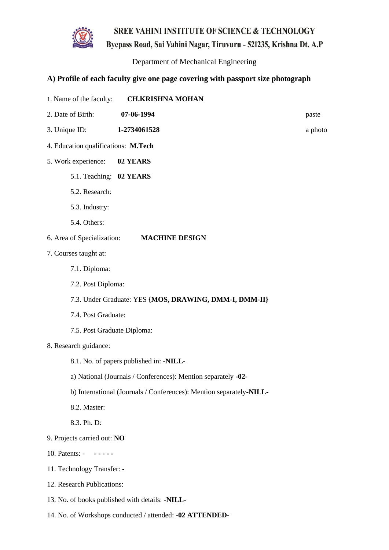

Byepass Road, Sai Vahini Nagar, Tiruvuru - 521235, Krishna Dt. A.P

Department of Mechanical Engineering

- 1. Name of the faculty: **CH.KRISHNA MOHAN**
- 2. Date of Birth: **07-06-1994** paste
- 3. Unique ID: **1-2734061528** a photo
- 4. Education qualifications: **M.Tech**
- 5. Work experience: **02 YEARS**
	- 5.1. Teaching: **02 YEARS**
	- 5.2. Research:
	- 5.3. Industry:
	- 5.4. Others:
- 6. Area of Specialization: **MACHINE DESIGN**
- 7. Courses taught at:
	- 7.1. Diploma:
	- 7.2. Post Diploma:
	- 7.3. Under Graduate: YES **{MOS, DRAWING, DMM-I, DMM-II}**
	- 7.4. Post Graduate:
	- 7.5. Post Graduate Diploma:
- 8. Research guidance:
	- 8.1. No. of papers published in: **-NILL-**
	- a) National (Journals / Conferences): Mention separately **-02-**
	- b) International (Journals / Conferences): Mention separately**-NILL-**
	- 8.2. Master:
	- 8.3. Ph. D:
- 9. Projects carried out: **NO**
- 10. Patents: **- - - - -**
- 11. Technology Transfer: -
- 12. Research Publications:
- 13. No. of books published with details: **-NILL-**
- 14. No. of Workshops conducted / attended: **-02 ATTENDED-**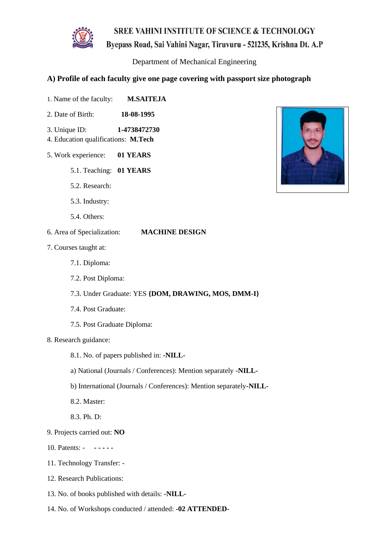

Department of Mechanical Engineering

- 1. Name of the faculty: **M.SAITEJA**
- 2. Date of Birth: **18-08-1995**
- 3. Unique ID: **1-4738472730**
- 4. Education qualifications: **M.Tech**
- 5. Work experience: **01 YEARS**
	- 5.1. Teaching: **01 YEARS**
	- 5.2. Research:
	- 5.3. Industry:
	- 5.4. Others:
- 6. Area of Specialization: **MACHINE DESIGN**
- 7. Courses taught at:
	- 7.1. Diploma:
	- 7.2. Post Diploma:
	- 7.3. Under Graduate: YES **{DOM, DRAWING, MOS, DMM-I}**
	- 7.4. Post Graduate:
	- 7.5. Post Graduate Diploma:
- 8. Research guidance:
	- 8.1. No. of papers published in: **-NILL-**
	- a) National (Journals / Conferences): Mention separately **-NILL-**
	- b) International (Journals / Conferences): Mention separately**-NILL-**
	- 8.2. Master:
	- 8.3. Ph. D:
- 9. Projects carried out: **NO**
- 10. Patents: **- - - - -**
- 11. Technology Transfer: -
- 12. Research Publications:
- 13. No. of books published with details: **-NILL-**
- 14. No. of Workshops conducted / attended: **-02 ATTENDED-**